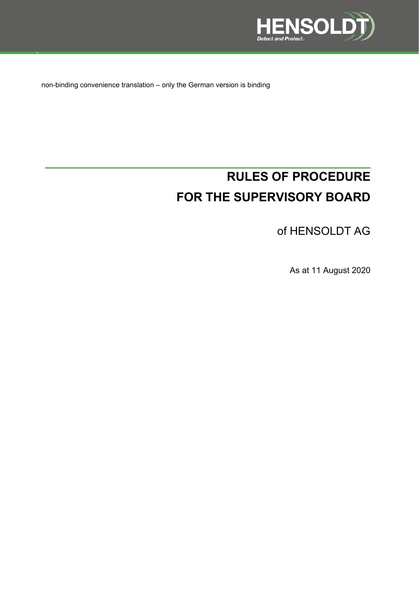

non-binding convenience translation – only the German version is binding

# **RULES OF PROCEDURE FOR THE SUPERVISORY BOARD**

of HENSOLDT AG

As at 11 August 2020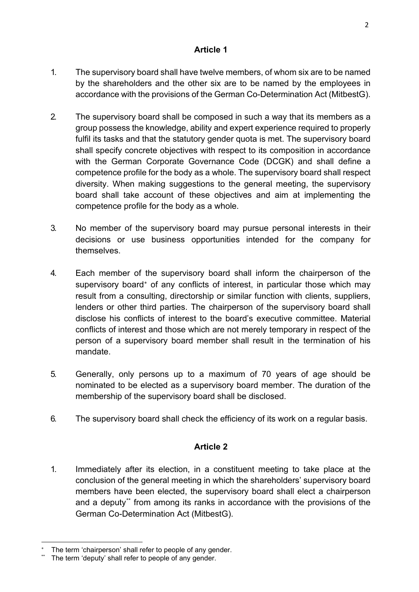- 1. The supervisory board shall have twelve members, of whom six are to be named by the shareholders and the other six are to be named by the employees in accordance with the provisions of the German Co-Determination Act (MitbestG).
- 2. The supervisory board shall be composed in such a way that its members as a group possess the knowledge, ability and expert experience required to properly fulfil its tasks and that the statutory gender quota is met. The supervisory board shall specify concrete objectives with respect to its composition in accordance with the German Corporate Governance Code (DCGK) and shall define a competence profile for the body as a whole. The supervisory board shall respect diversity. When making suggestions to the general meeting, the supervisory board shall take account of these objectives and aim at implementing the competence profile for the body as a whole.
- 3. No member of the supervisory board may pursue personal interests in their decisions or use business opportunities intended for the company for themselves.
- 4. Each member of the supervisory board shall inform the chairperson of the supervisory board<sup>\*</sup> of any conflicts of interest, in particular those which may result from a consulting, directorship or similar function with clients, suppliers, lenders or other third parties. The chairperson of the supervisory board shall disclose his conflicts of interest to the board's executive committee. Material conflicts of interest and those which are not merely temporary in respect of the person of a supervisory board member shall result in the termination of his mandate.
- 5. Generally, only persons up to a maximum of 70 years of age should be nominated to be elected as a supervisory board member. The duration of the membership of the supervisory board shall be disclosed.
- 6. The supervisory board shall check the efficiency of its work on a regular basis.

## **Article 2**

1. Immediately after its election, in a constituent meeting to take place at the conclusion of the general meeting in which the shareholders' supervisory board members have been elected, the supervisory board shall elect a chairperson and a deputy[\\*\\*](#page-1-1) from among its ranks in accordance with the provisions of the German Co-Determination Act (MitbestG).

<span id="page-1-0"></span>The term 'chairperson' shall refer to people of any gender.

<span id="page-1-1"></span>The term 'deputy' shall refer to people of any gender.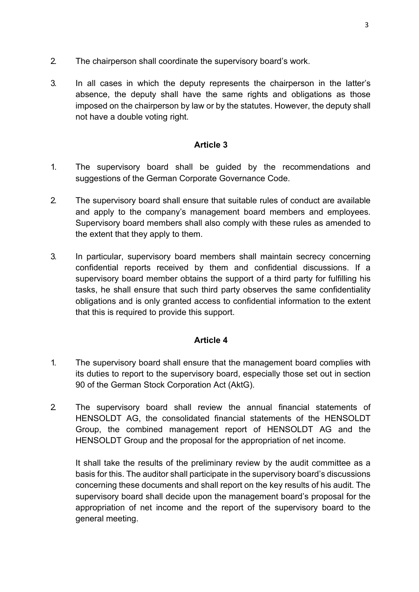- 2. The chairperson shall coordinate the supervisory board's work.
- 3. In all cases in which the deputy represents the chairperson in the latter's absence, the deputy shall have the same rights and obligations as those imposed on the chairperson by law or by the statutes. However, the deputy shall not have a double voting right.

- 1. The supervisory board shall be guided by the recommendations and suggestions of the German Corporate Governance Code.
- 2. The supervisory board shall ensure that suitable rules of conduct are available and apply to the company's management board members and employees. Supervisory board members shall also comply with these rules as amended to the extent that they apply to them.
- 3. In particular, supervisory board members shall maintain secrecy concerning confidential reports received by them and confidential discussions. If a supervisory board member obtains the support of a third party for fulfilling his tasks, he shall ensure that such third party observes the same confidentiality obligations and is only granted access to confidential information to the extent that this is required to provide this support.

#### **Article 4**

- 1. The supervisory board shall ensure that the management board complies with its duties to report to the supervisory board, especially those set out in section 90 of the German Stock Corporation Act (AktG).
- 2. The supervisory board shall review the annual financial statements of HENSOLDT AG, the consolidated financial statements of the HENSOLDT Group, the combined management report of HENSOLDT AG and the HENSOLDT Group and the proposal for the appropriation of net income.

It shall take the results of the preliminary review by the audit committee as a basis for this. The auditor shall participate in the supervisory board's discussions concerning these documents and shall report on the key results of his audit. The supervisory board shall decide upon the management board's proposal for the appropriation of net income and the report of the supervisory board to the general meeting.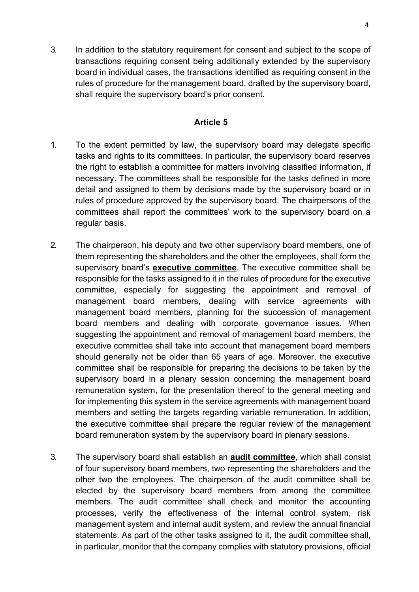3. In addition to the statutory requirement for consent and subject to the scope of transactions requiring consent being additionally extended by the supervisory board in individual cases, the transactions identified as requiring consent in the rules of procedure for the management board, drafted by the supervisory board, shall require the supervisory board's prior consent.

#### **Article 5**

- 1. To the extent permitted by law, the supervisory board may delegate specific tasks and rights to its committees. In particular, the supervisory board reserves the right to establish a committee for matters involving classified information, if necessary. The committees shall be responsible for the tasks defined in more detail and assigned to them by decisions made by the supervisory board or in rules of procedure approved by the supervisory board. The chairpersons of the committees shall report the committees' work to the supervisory board on a regular basis.
- 2. The chairperson, his deputy and two other supervisory board members, one of them representing the shareholders and the other the employees, shall form the supervisory board's **executive committee**. The executive committee shall be responsible for the tasks assigned to it in the rules of procedure for the executive committee, especially for suggesting the appointment and removal of management board members, dealing with service agreements with management board members, planning for the succession of management board members and dealing with corporate governance issues. When suggesting the appointment and removal of management board members, the executive committee shall take into account that management board members should generally not be older than 65 years of age. Moreover, the executive committee shall be responsible for preparing the decisions to be taken by the supervisory board in a plenary session concerning the management board remuneration system, for the presentation thereof to the general meeting and for implementing this system in the service agreements with management board members and setting the targets regarding variable remuneration. In addition, the executive committee shall prepare the regular review of the management board remuneration system by the supervisory board in plenary sessions.
- 3. The supervisory board shall establish an **audit committee**, which shall consist of four supervisory board members, two representing the shareholders and the other two the employees. The chairperson of the audit committee shall be elected by the supervisory board members from among the committee members. The audit committee shall check and monitor the accounting processes, verify the effectiveness of the internal control system, risk management system and internal audit system, and review the annual financial statements. As part of the other tasks assigned to it, the audit committee shall, in particular, monitor that the company complies with statutory provisions, official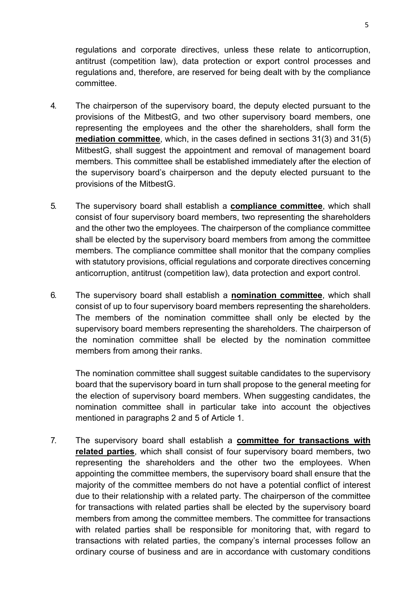regulations and corporate directives, unless these relate to anticorruption, antitrust (competition law), data protection or export control processes and regulations and, therefore, are reserved for being dealt with by the compliance committee.

- 4. The chairperson of the supervisory board, the deputy elected pursuant to the provisions of the MitbestG, and two other supervisory board members, one representing the employees and the other the shareholders, shall form the **mediation committee**, which, in the cases defined in sections 31(3) and 31(5) MitbestG, shall suggest the appointment and removal of management board members. This committee shall be established immediately after the election of the supervisory board's chairperson and the deputy elected pursuant to the provisions of the MitbestG.
- 5. The supervisory board shall establish a **compliance committee**, which shall consist of four supervisory board members, two representing the shareholders and the other two the employees. The chairperson of the compliance committee shall be elected by the supervisory board members from among the committee members. The compliance committee shall monitor that the company complies with statutory provisions, official regulations and corporate directives concerning anticorruption, antitrust (competition law), data protection and export control.
- 6. The supervisory board shall establish a **nomination committee**, which shall consist of up to four supervisory board members representing the shareholders. The members of the nomination committee shall only be elected by the supervisory board members representing the shareholders. The chairperson of the nomination committee shall be elected by the nomination committee members from among their ranks.

The nomination committee shall suggest suitable candidates to the supervisory board that the supervisory board in turn shall propose to the general meeting for the election of supervisory board members. When suggesting candidates, the nomination committee shall in particular take into account the objectives mentioned in paragraphs 2 and 5 of Article 1.

7. The supervisory board shall establish a **committee for transactions with related parties**, which shall consist of four supervisory board members, two representing the shareholders and the other two the employees. When appointing the committee members, the supervisory board shall ensure that the majority of the committee members do not have a potential conflict of interest due to their relationship with a related party. The chairperson of the committee for transactions with related parties shall be elected by the supervisory board members from among the committee members. The committee for transactions with related parties shall be responsible for monitoring that, with regard to transactions with related parties, the company's internal processes follow an ordinary course of business and are in accordance with customary conditions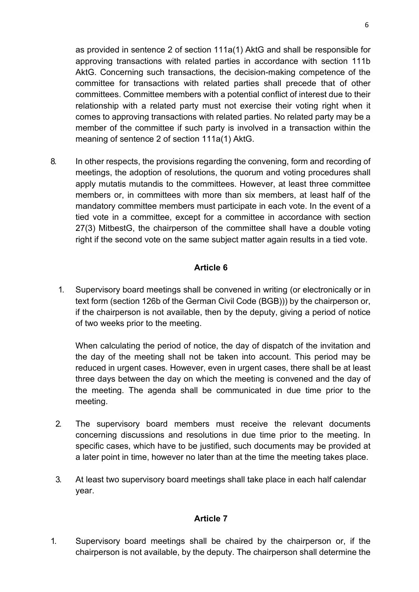as provided in sentence 2 of section 111a(1) AktG and shall be responsible for approving transactions with related parties in accordance with section 111b AktG. Concerning such transactions, the decision-making competence of the committee for transactions with related parties shall precede that of other committees. Committee members with a potential conflict of interest due to their relationship with a related party must not exercise their voting right when it comes to approving transactions with related parties. No related party may be a member of the committee if such party is involved in a transaction within the meaning of sentence 2 of section 111a(1) AktG.

8. In other respects, the provisions regarding the convening, form and recording of meetings, the adoption of resolutions, the quorum and voting procedures shall apply mutatis mutandis to the committees. However, at least three committee members or, in committees with more than six members, at least half of the mandatory committee members must participate in each vote. In the event of a tied vote in a committee, except for a committee in accordance with section 27(3) MitbestG, the chairperson of the committee shall have a double voting right if the second vote on the same subject matter again results in a tied vote.

# **Article 6**

1. Supervisory board meetings shall be convened in writing (or electronically or in text form (section 126b of the German Civil Code (BGB))) by the chairperson or, if the chairperson is not available, then by the deputy, giving a period of notice of two weeks prior to the meeting.

When calculating the period of notice, the day of dispatch of the invitation and the day of the meeting shall not be taken into account. This period may be reduced in urgent cases. However, even in urgent cases, there shall be at least three days between the day on which the meeting is convened and the day of the meeting. The agenda shall be communicated in due time prior to the meeting.

- 2. The supervisory board members must receive the relevant documents concerning discussions and resolutions in due time prior to the meeting. In specific cases, which have to be justified, such documents may be provided at a later point in time, however no later than at the time the meeting takes place.
- 3. At least two supervisory board meetings shall take place in each half calendar year.

## **Article 7**

1. Supervisory board meetings shall be chaired by the chairperson or, if the chairperson is not available, by the deputy. The chairperson shall determine the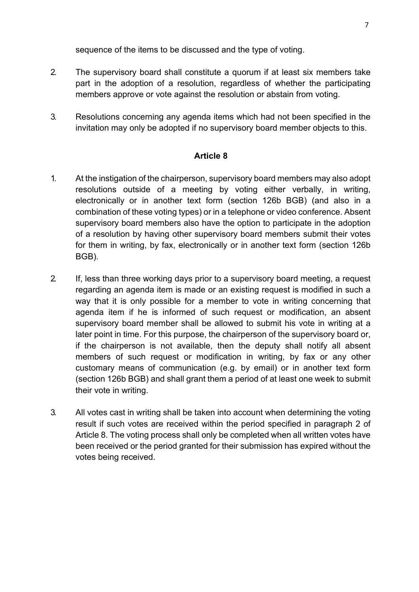sequence of the items to be discussed and the type of voting.

- 2. The supervisory board shall constitute a quorum if at least six members take part in the adoption of a resolution, regardless of whether the participating members approve or vote against the resolution or abstain from voting.
- 3. Resolutions concerning any agenda items which had not been specified in the invitation may only be adopted if no supervisory board member objects to this.

## **Article 8**

- 1. At the instigation of the chairperson, supervisory board members may also adopt resolutions outside of a meeting by voting either verbally, in writing, electronically or in another text form (section 126b BGB) (and also in a combination of these voting types) or in a telephone or video conference. Absent supervisory board members also have the option to participate in the adoption of a resolution by having other supervisory board members submit their votes for them in writing, by fax, electronically or in another text form (section 126b BGB).
- 2. If, less than three working days prior to a supervisory board meeting, a request regarding an agenda item is made or an existing request is modified in such a way that it is only possible for a member to vote in writing concerning that agenda item if he is informed of such request or modification, an absent supervisory board member shall be allowed to submit his vote in writing at a later point in time. For this purpose, the chairperson of the supervisory board or, if the chairperson is not available, then the deputy shall notify all absent members of such request or modification in writing, by fax or any other customary means of communication (e.g. by email) or in another text form (section 126b BGB) and shall grant them a period of at least one week to submit their vote in writing.
- 3. All votes cast in writing shall be taken into account when determining the voting result if such votes are received within the period specified in paragraph 2 of Article 8. The voting process shall only be completed when all written votes have been received or the period granted for their submission has expired without the votes being received.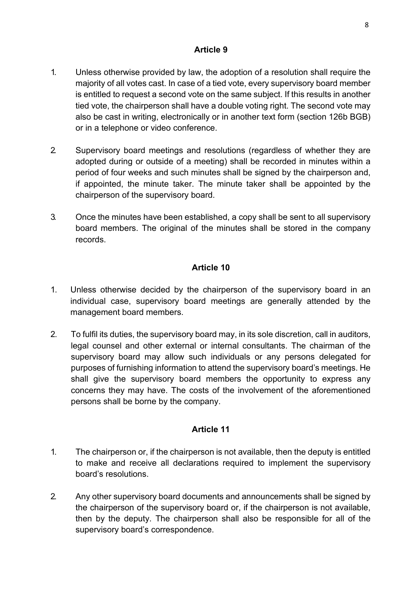- 1. Unless otherwise provided by law, the adoption of a resolution shall require the majority of all votes cast. In case of a tied vote, every supervisory board member is entitled to request a second vote on the same subject. If this results in another tied vote, the chairperson shall have a double voting right. The second vote may also be cast in writing, electronically or in another text form (section 126b BGB) or in a telephone or video conference.
- 2. Supervisory board meetings and resolutions (regardless of whether they are adopted during or outside of a meeting) shall be recorded in minutes within a period of four weeks and such minutes shall be signed by the chairperson and, if appointed, the minute taker. The minute taker shall be appointed by the chairperson of the supervisory board.
- 3. Once the minutes have been established, a copy shall be sent to all supervisory board members. The original of the minutes shall be stored in the company records.

# **Article 10**

- 1. Unless otherwise decided by the chairperson of the supervisory board in an individual case, supervisory board meetings are generally attended by the management board members.
- 2. To fulfil its duties, the supervisory board may, in its sole discretion, call in auditors, legal counsel and other external or internal consultants. The chairman of the supervisory board may allow such individuals or any persons delegated for purposes of furnishing information to attend the supervisory board's meetings. He shall give the supervisory board members the opportunity to express any concerns they may have. The costs of the involvement of the aforementioned persons shall be borne by the company.

## **Article 11**

- 1. The chairperson or, if the chairperson is not available, then the deputy is entitled to make and receive all declarations required to implement the supervisory board's resolutions.
- 2. Any other supervisory board documents and announcements shall be signed by the chairperson of the supervisory board or, if the chairperson is not available, then by the deputy. The chairperson shall also be responsible for all of the supervisory board's correspondence.